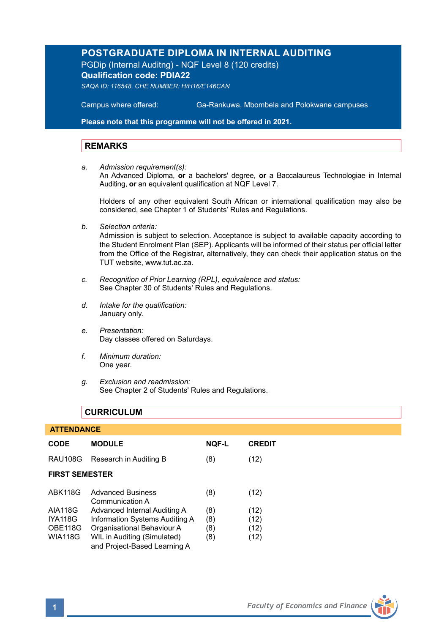# **POSTGRADUATE DIPLOMA IN INTERNAL AUDITING**

PGDip (Internal Auditng) - NQF Level 8 (120 credits) **Qualification code: PDIA22**

*SAQA ID: 116548, CHE NUMBER: H/H16/E146CAN*

**Campus where offered:** 

Ga-Rankuwa, Mbombela and Polokwane campuses

**Please note that this programme will not be offered in 2021.**

## **REMARKS**

*a. Admission requirement(s):* 

An Advanced Diploma, **or** a bachelors' degree, **or** a Baccalaureus Technologiae in Internal Auditing, **or** an equivalent qualification at NQF Level 7.

Holders of any other equivalent South African or international qualification may also be considered, see Chapter 1 of Students' Rules and Regulations.

*b. Selection criteria:*

Admission is subject to selection. Acceptance is subject to available capacity according to the Student Enrolment Plan (SEP). Applicants will be informed of their status per official letter from the Office of the Registrar, alternatively, they can check their application status on the TUT website, www.tut.ac.za.

- *c. Recognition of Prior Learning (RPL), equivalence and status:* See Chapter 30 of Students' Rules and Regulations.
- *d. Intake for the qualification:* January only.
- *e. Presentation:* Day classes offered on Saturdays.
- *f. Minimum duration:* One year.
- *g. Exclusion and readmission:* See Chapter 2 of Students' Rules and Regulations.

## **CURRICULUM**

## **ATTENDANCE**

| <b>CODE</b>           | <b>MODULE</b>                                               | <b>NOF-L</b> | <b>CREDIT</b> |  |
|-----------------------|-------------------------------------------------------------|--------------|---------------|--|
| <b>RAU108G</b>        | Research in Auditing B                                      | (8)          | (12)          |  |
| <b>FIRST SEMESTER</b> |                                                             |              |               |  |
| <b>ABK118G</b>        | <b>Advanced Business</b><br>Communication A                 | (8)          | (12)          |  |
| <b>AIA118G</b>        | Advanced Internal Auditing A                                | (8)          | (12)          |  |
| <b>IYA118G</b>        | Information Systems Auditing A                              | (8)          | (12)          |  |
| OBE118G               | Organisational Behaviour A                                  | (8)          | (12)          |  |
| <b>WIA118G</b>        | WIL in Auditing (Simulated)<br>and Project-Based Learning A | (8)          | (12)          |  |

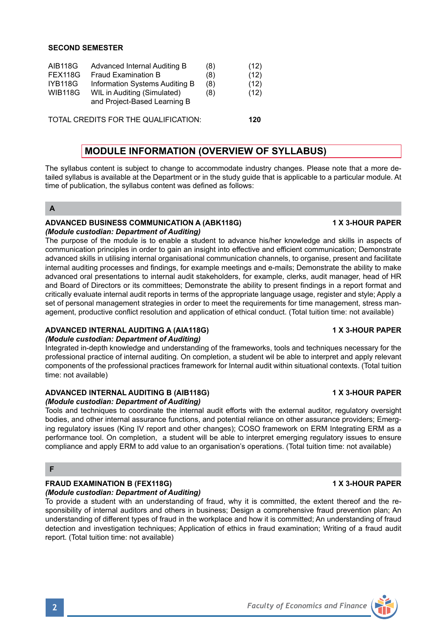## **SECOND SEMESTER**

| AIB118G | Advanced Internal Auditing B                                | (8) | (12) |
|---------|-------------------------------------------------------------|-----|------|
| FEX118G | <b>Fraud Examination B</b>                                  | (8) | (12) |
| IYB118G | Information Systems Auditing B                              | (8) | (12) |
| WIB118G | WIL in Auditing (Simulated)<br>and Project-Based Learning B | (8) | (12) |

TOTAL CREDITS FOR THE QUALIFICATION: **120**

# **MODULE INFORMATION (OVERVIEW OF SYLLABUS)**

The syllabus content is subject to change to accommodate industry changes. Please note that a more detailed syllabus is available at the Department or in the study guide that is applicable to a particular module. At time of publication, the syllabus content was defined as follows:

## **A**

## **ADVANCED BUSINESS COMMUNICATION A (ABK118G) 1 X 3-HOUR PAPER** *(Module custodian: Department of Auditing)*

The purpose of the module is to enable a student to advance his/her knowledge and skills in aspects of communication principles in order to gain an insight into effective and efficient communication; Demonstrate advanced skills in utilising internal organisational communication channels, to organise, present and facilitate internal auditing processes and findings, for example meetings and e-mails; Demonstrate the ability to make advanced oral presentations to internal audit stakeholders, for example, clerks, audit manager, head of HR and Board of Directors or its committees; Demonstrate the ability to present findings in a report format and critically evaluate internal audit reports in terms of the appropriate language usage, register and style; Apply a set of personal management strategies in order to meet the requirements for time management, stress management, productive conflict resolution and application of ethical conduct. (Total tuition time: not available)

### **ADVANCED INTERNAL AUDITING A (AIA118G) 1 X 3-HOUR PAPER** *(Module custodian: Department of Auditing)*

Integrated in-depth knowledge and understanding of the frameworks, tools and techniques necessary for the professional practice of internal auditing. On completion, a student wil be able to interpret and apply relevant components of the professional practices framework for Internal audit within situational contexts. (Total tuition time: not available)

# **ADVANCED INTERNAL AUDITING B (AIB118G) 1 X 3-HOUR PAPER**

## *(Module custodian: Department of Auditing)*

Tools and techniques to coordinate the internal audit efforts with the external auditor, regulatory oversight bodies, and other internal assurance functions, and potential reliance on other assurance providers; Emerging regulatory issues (King IV report and other changes); COSO framework on ERM Integrating ERM as a performance tool. On completion, a student will be able to interpret emerging regulatory issues to ensure compliance and apply ERM to add value to an organisation's operations. (Total tuition time: not available)

## **F**

# **FRAUD EXAMINATION B (FEX118G) 1 X 3-HOUR PAPER**

# *(Module custodian: Department of Auditing)*

To provide a student with an understanding of fraud, why it is committed, the extent thereof and the responsibility of internal auditors and others in business; Design a comprehensive fraud prevention plan; An understanding of different types of fraud in the workplace and how it is committed; An understanding of fraud detection and investigation techniques; Application of ethics in fraud examination; Writing of a fraud audit report. (Total tuition time: not available)